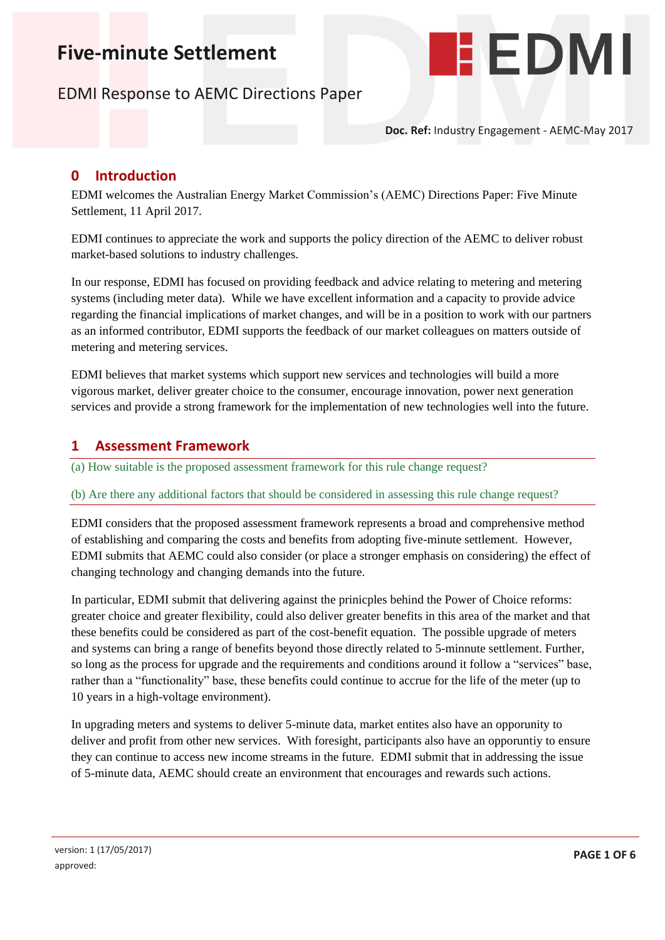# **Five-minute Settlement**

# EDMI Response to AEMC Directions Paper



**Doc. Ref:** Industry Engagement - AEMC-May 2017

#### **0 Introduction**

EDMI welcomes the Australian Energy Market Commission's (AEMC) Directions Paper: Five Minute Settlement, 11 April 2017.

EDMI continues to appreciate the work and supports the policy direction of the AEMC to deliver robust market-based solutions to industry challenges.

In our response, EDMI has focused on providing feedback and advice relating to metering and metering systems (including meter data). While we have excellent information and a capacity to provide advice regarding the financial implications of market changes, and will be in a position to work with our partners as an informed contributor, EDMI supports the feedback of our market colleagues on matters outside of metering and metering services.

EDMI believes that market systems which support new services and technologies will build a more vigorous market, deliver greater choice to the consumer, encourage innovation, power next generation services and provide a strong framework for the implementation of new technologies well into the future.

#### **1 Assessment Framework**

(a) How suitable is the proposed assessment framework for this rule change request?

#### (b) Are there any additional factors that should be considered in assessing this rule change request?

EDMI considers that the proposed assessment framework represents a broad and comprehensive method of establishing and comparing the costs and benefits from adopting five-minute settlement. However, EDMI submits that AEMC could also consider (or place a stronger emphasis on considering) the effect of changing technology and changing demands into the future.

In particular, EDMI submit that delivering against the prinicples behind the Power of Choice reforms: greater choice and greater flexibility, could also deliver greater benefits in this area of the market and that these benefits could be considered as part of the cost-benefit equation. The possible upgrade of meters and systems can bring a range of benefits beyond those directly related to 5-minnute settlement. Further, so long as the process for upgrade and the requirements and conditions around it follow a "services" base, rather than a "functionality" base, these benefits could continue to accrue for the life of the meter (up to 10 years in a high-voltage environment).

In upgrading meters and systems to deliver 5-minute data, market entites also have an opporunity to deliver and profit from other new services. With foresight, participants also have an opporuntiy to ensure they can continue to access new income streams in the future. EDMI submit that in addressing the issue of 5-minute data, AEMC should create an environment that encourages and rewards such actions.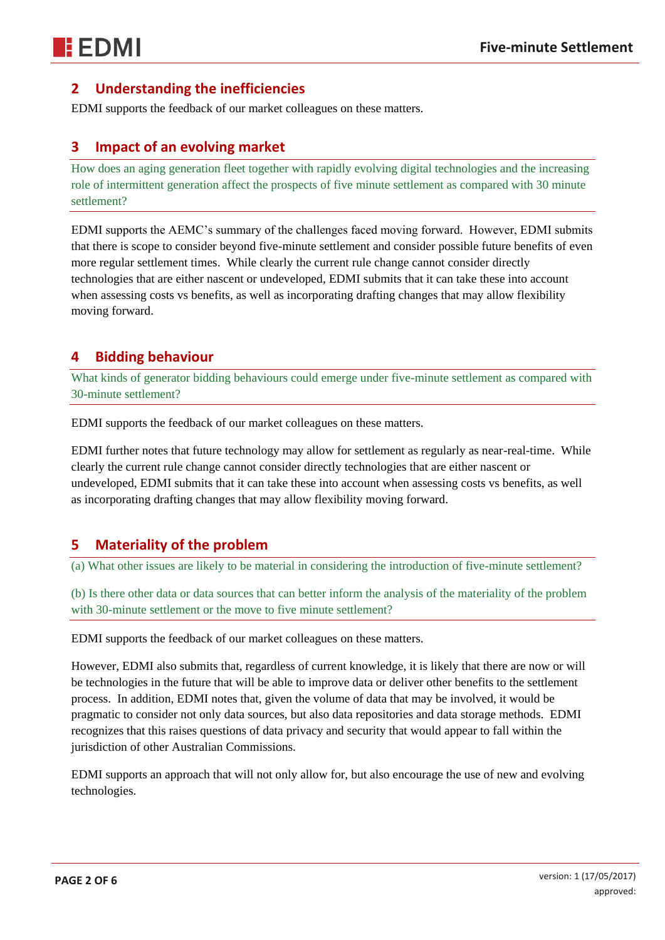# **2 Understanding the inefficiencies**

EDMI supports the feedback of our market colleagues on these matters.

### **3 Impact of an evolving market**

How does an aging generation fleet together with rapidly evolving digital technologies and the increasing role of intermittent generation affect the prospects of five minute settlement as compared with 30 minute settlement?

EDMI supports the AEMC's summary of the challenges faced moving forward. However, EDMI submits that there is scope to consider beyond five-minute settlement and consider possible future benefits of even more regular settlement times. While clearly the current rule change cannot consider directly technologies that are either nascent or undeveloped, EDMI submits that it can take these into account when assessing costs vs benefits, as well as incorporating drafting changes that may allow flexibility moving forward.

### **4 Bidding behaviour**

What kinds of generator bidding behaviours could emerge under five-minute settlement as compared with 30-minute settlement?

EDMI supports the feedback of our market colleagues on these matters.

EDMI further notes that future technology may allow for settlement as regularly as near-real-time. While clearly the current rule change cannot consider directly technologies that are either nascent or undeveloped, EDMI submits that it can take these into account when assessing costs vs benefits, as well as incorporating drafting changes that may allow flexibility moving forward.

#### **5 Materiality of the problem**

(a) What other issues are likely to be material in considering the introduction of five-minute settlement?

(b) Is there other data or data sources that can better inform the analysis of the materiality of the problem with 30-minute settlement or the move to five minute settlement?

EDMI supports the feedback of our market colleagues on these matters.

However, EDMI also submits that, regardless of current knowledge, it is likely that there are now or will be technologies in the future that will be able to improve data or deliver other benefits to the settlement process. In addition, EDMI notes that, given the volume of data that may be involved, it would be pragmatic to consider not only data sources, but also data repositories and data storage methods. EDMI recognizes that this raises questions of data privacy and security that would appear to fall within the jurisdiction of other Australian Commissions.

EDMI supports an approach that will not only allow for, but also encourage the use of new and evolving technologies.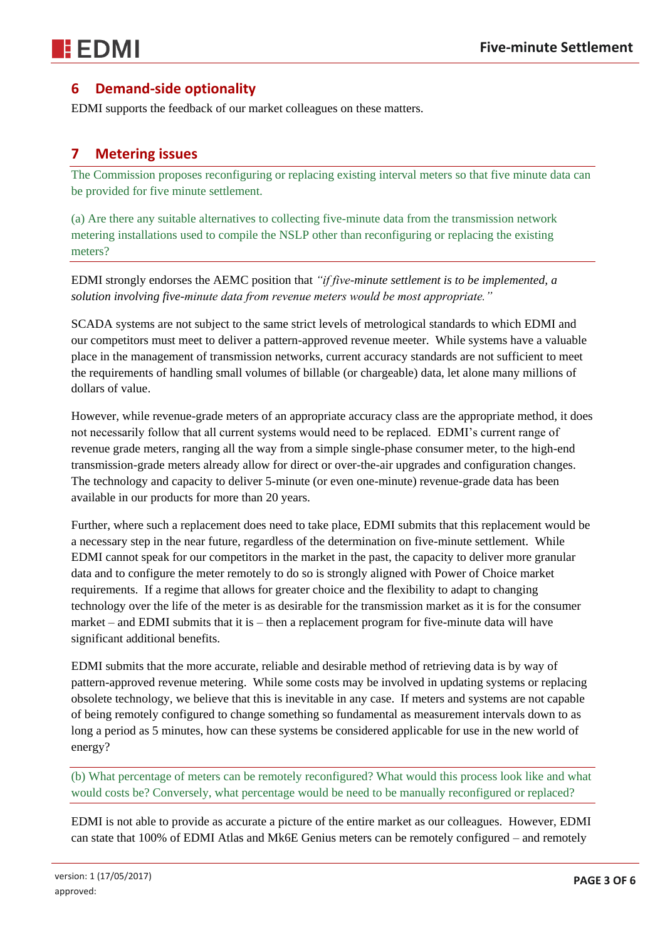

# **6 Demand-side optionality**

EDMI supports the feedback of our market colleagues on these matters.

#### **7 Metering issues**

The Commission proposes reconfiguring or replacing existing interval meters so that five minute data can be provided for five minute settlement.

(a) Are there any suitable alternatives to collecting five-minute data from the transmission network metering installations used to compile the NSLP other than reconfiguring or replacing the existing meters?

EDMI strongly endorses the AEMC position that *"if five-minute settlement is to be implemented, a solution involving five-minute data from revenue meters would be most appropriate."*

SCADA systems are not subject to the same strict levels of metrological standards to which EDMI and our competitors must meet to deliver a pattern-approved revenue meeter. While systems have a valuable place in the management of transmission networks, current accuracy standards are not sufficient to meet the requirements of handling small volumes of billable (or chargeable) data, let alone many millions of dollars of value.

However, while revenue-grade meters of an appropriate accuracy class are the appropriate method, it does not necessarily follow that all current systems would need to be replaced. EDMI's current range of revenue grade meters, ranging all the way from a simple single-phase consumer meter, to the high-end transmission-grade meters already allow for direct or over-the-air upgrades and configuration changes. The technology and capacity to deliver 5-minute (or even one-minute) revenue-grade data has been available in our products for more than 20 years.

Further, where such a replacement does need to take place, EDMI submits that this replacement would be a necessary step in the near future, regardless of the determination on five-minute settlement. While EDMI cannot speak for our competitors in the market in the past, the capacity to deliver more granular data and to configure the meter remotely to do so is strongly aligned with Power of Choice market requirements. If a regime that allows for greater choice and the flexibility to adapt to changing technology over the life of the meter is as desirable for the transmission market as it is for the consumer market – and EDMI submits that it is – then a replacement program for five-minute data will have significant additional benefits.

EDMI submits that the more accurate, reliable and desirable method of retrieving data is by way of pattern-approved revenue metering. While some costs may be involved in updating systems or replacing obsolete technology, we believe that this is inevitable in any case. If meters and systems are not capable of being remotely configured to change something so fundamental as measurement intervals down to as long a period as 5 minutes, how can these systems be considered applicable for use in the new world of energy?

(b) What percentage of meters can be remotely reconfigured? What would this process look like and what would costs be? Conversely, what percentage would be need to be manually reconfigured or replaced?

EDMI is not able to provide as accurate a picture of the entire market as our colleagues. However, EDMI can state that 100% of EDMI Atlas and Mk6E Genius meters can be remotely configured – and remotely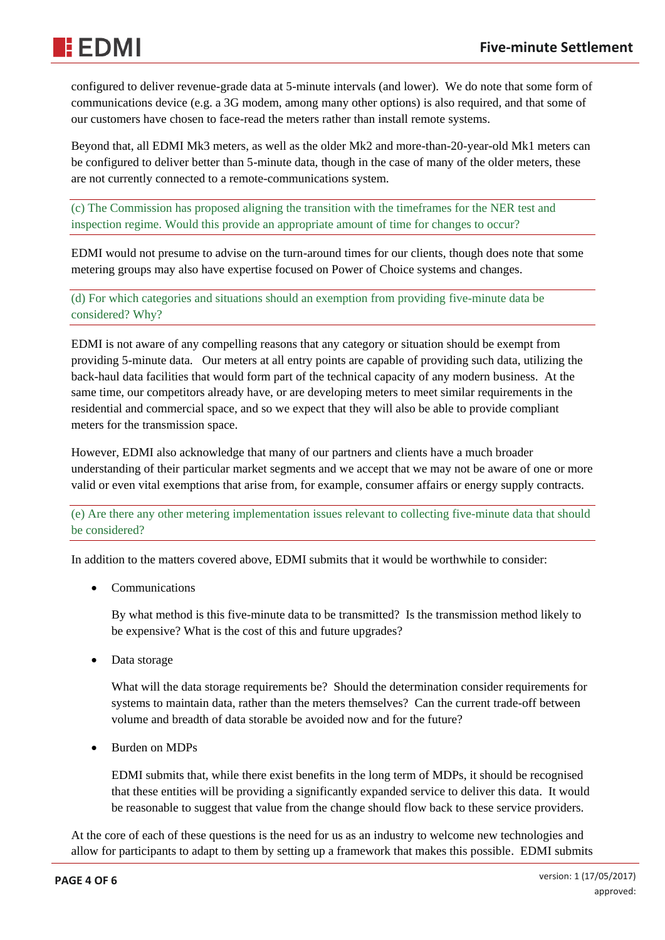configured to deliver revenue-grade data at 5-minute intervals (and lower). We do note that some form of communications device (e.g. a 3G modem, among many other options) is also required, and that some of our customers have chosen to face-read the meters rather than install remote systems.

Beyond that, all EDMI Mk3 meters, as well as the older Mk2 and more-than-20-year-old Mk1 meters can be configured to deliver better than 5-minute data, though in the case of many of the older meters, these are not currently connected to a remote-communications system.

(c) The Commission has proposed aligning the transition with the timeframes for the NER test and inspection regime. Would this provide an appropriate amount of time for changes to occur?

EDMI would not presume to advise on the turn-around times for our clients, though does note that some metering groups may also have expertise focused on Power of Choice systems and changes.

(d) For which categories and situations should an exemption from providing five-minute data be considered? Why?

EDMI is not aware of any compelling reasons that any category or situation should be exempt from providing 5-minute data. Our meters at all entry points are capable of providing such data, utilizing the back-haul data facilities that would form part of the technical capacity of any modern business. At the same time, our competitors already have, or are developing meters to meet similar requirements in the residential and commercial space, and so we expect that they will also be able to provide compliant meters for the transmission space.

However, EDMI also acknowledge that many of our partners and clients have a much broader understanding of their particular market segments and we accept that we may not be aware of one or more valid or even vital exemptions that arise from, for example, consumer affairs or energy supply contracts.

(e) Are there any other metering implementation issues relevant to collecting five-minute data that should be considered?

In addition to the matters covered above, EDMI submits that it would be worthwhile to consider:

• Communications

By what method is this five-minute data to be transmitted? Is the transmission method likely to be expensive? What is the cost of this and future upgrades?

• Data storage

What will the data storage requirements be? Should the determination consider requirements for systems to maintain data, rather than the meters themselves? Can the current trade-off between volume and breadth of data storable be avoided now and for the future?

• Burden on MDPs

EDMI submits that, while there exist benefits in the long term of MDPs, it should be recognised that these entities will be providing a significantly expanded service to deliver this data. It would be reasonable to suggest that value from the change should flow back to these service providers.

At the core of each of these questions is the need for us as an industry to welcome new technologies and allow for participants to adapt to them by setting up a framework that makes this possible. EDMI submits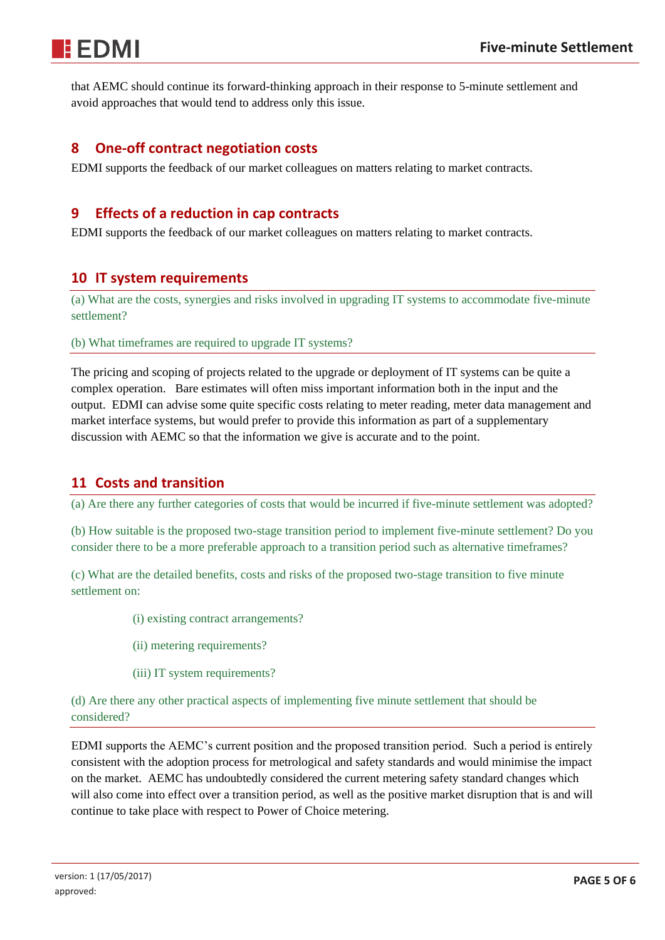that AEMC should continue its forward-thinking approach in their response to 5-minute settlement and avoid approaches that would tend to address only this issue.

### **8 One-off contract negotiation costs**

EDMI supports the feedback of our market colleagues on matters relating to market contracts.

## **9 Effects of a reduction in cap contracts**

EDMI supports the feedback of our market colleagues on matters relating to market contracts.

#### **10 IT system requirements**

(a) What are the costs, synergies and risks involved in upgrading IT systems to accommodate five-minute settlement?

(b) What timeframes are required to upgrade IT systems?

The pricing and scoping of projects related to the upgrade or deployment of IT systems can be quite a complex operation. Bare estimates will often miss important information both in the input and the output. EDMI can advise some quite specific costs relating to meter reading, meter data management and market interface systems, but would prefer to provide this information as part of a supplementary discussion with AEMC so that the information we give is accurate and to the point.

# **11 Costs and transition**

(a) Are there any further categories of costs that would be incurred if five-minute settlement was adopted?

(b) How suitable is the proposed two-stage transition period to implement five-minute settlement? Do you consider there to be a more preferable approach to a transition period such as alternative timeframes?

(c) What are the detailed benefits, costs and risks of the proposed two-stage transition to five minute settlement on:

- (i) existing contract arrangements?
- (ii) metering requirements?
- (iii) IT system requirements?

(d) Are there any other practical aspects of implementing five minute settlement that should be considered?

EDMI supports the AEMC's current position and the proposed transition period. Such a period is entirely consistent with the adoption process for metrological and safety standards and would minimise the impact on the market. AEMC has undoubtedly considered the current metering safety standard changes which will also come into effect over a transition period, as well as the positive market disruption that is and will continue to take place with respect to Power of Choice metering.